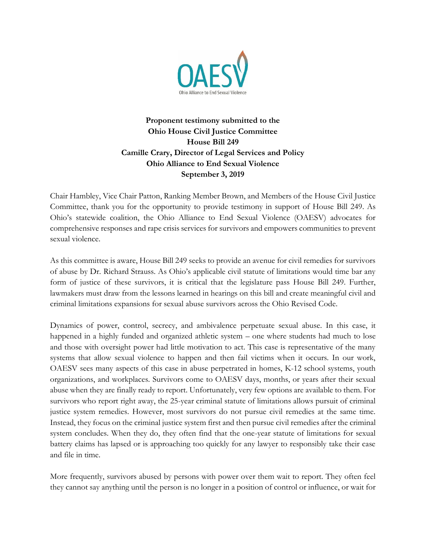

## **Proponent testimony submitted to the Ohio House Civil Justice Committee House Bill 249 Camille Crary, Director of Legal Services and Policy Ohio Alliance to End Sexual Violence September 3, 2019**

Chair Hambley, Vice Chair Patton, Ranking Member Brown, and Members of the House Civil Justice Committee, thank you for the opportunity to provide testimony in support of House Bill 249. As Ohio's statewide coalition, the Ohio Alliance to End Sexual Violence (OAESV) advocates for comprehensive responses and rape crisis services for survivors and empowers communities to prevent sexual violence.

As this committee is aware, House Bill 249 seeks to provide an avenue for civil remedies for survivors of abuse by Dr. Richard Strauss. As Ohio's applicable civil statute of limitations would time bar any form of justice of these survivors, it is critical that the legislature pass House Bill 249. Further, lawmakers must draw from the lessons learned in hearings on this bill and create meaningful civil and criminal limitations expansions for sexual abuse survivors across the Ohio Revised Code.

Dynamics of power, control, secrecy, and ambivalence perpetuate sexual abuse. In this case, it happened in a highly funded and organized athletic system – one where students had much to lose and those with oversight power had little motivation to act. This case is representative of the many systems that allow sexual violence to happen and then fail victims when it occurs. In our work, OAESV sees many aspects of this case in abuse perpetrated in homes, K-12 school systems, youth organizations, and workplaces. Survivors come to OAESV days, months, or years after their sexual abuse when they are finally ready to report. Unfortunately, very few options are available to them. For survivors who report right away, the 25-year criminal statute of limitations allows pursuit of criminal justice system remedies. However, most survivors do not pursue civil remedies at the same time. Instead, they focus on the criminal justice system first and then pursue civil remedies after the criminal system concludes. When they do, they often find that the one-year statute of limitations for sexual battery claims has lapsed or is approaching too quickly for any lawyer to responsibly take their case and file in time.

More frequently, survivors abused by persons with power over them wait to report. They often feel they cannot say anything until the person is no longer in a position of control or influence, or wait for